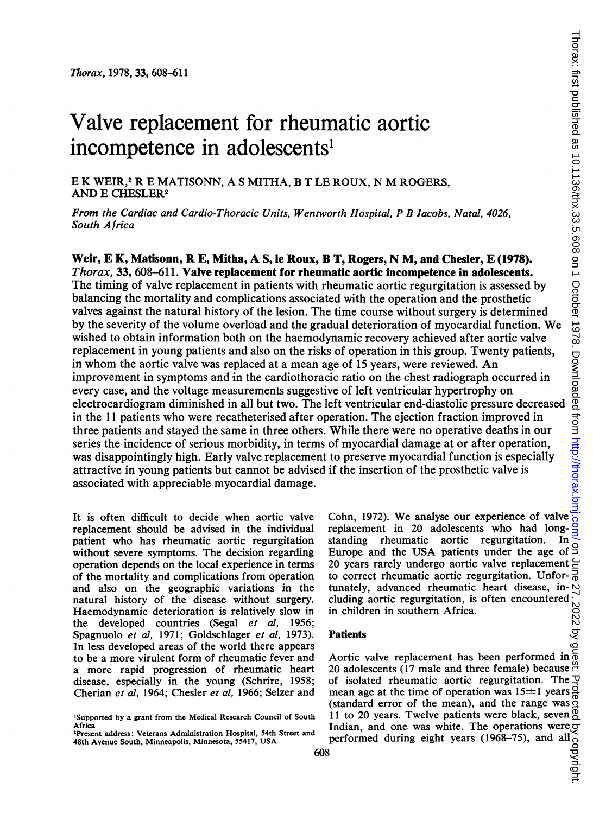# Valve replacement for rheumatic aortic incompetence in adolescents<sup>1</sup>

E K WEIR,<sup>2</sup> R E MATISONN, A S MITHA, B T LE ROUX, N M ROGERS, AND E CHESLER2

From the Cardiac and Cardio-Thoracic Units, Wentworth Hospital, P B Jacobs, Natal, 4026, South Africa

Weir, E K, Matisonn, R E, Mitha, A S, le Roux, B T, Rogers, N M, and Chesler, E (1978). Thorax, 33, 608-611. Valve replacement for rheumatic aortic incompetence in adolescents. The timing of valve replacement in patients with rheumatic aortic regurgitation is assessed by balancing the mortality and complications associated with the operation and the prosthetic valves against the natural history of the lesion. The time course without surgery is determined by the severity of the volume overload and the gradual deterioration of myocardial function. We wished to obtain information both on the haemodynamic recovery achieved after aortic valve replacement in young patients and also on the risks of operation in this group. Twenty patients, in whom the aortic valve was replaced at <sup>a</sup> mean age of <sup>15</sup> years, were reviewed. An improvement in symptoms and in the cardiothoracic ratio on the chest radiograph occurred in every case, and the voltage measurements suggestive of left ventricular hypertrophy on electrocardiogram diminished in all but two. The left ventricular end-diastolic pressure decreased in the <sup>11</sup> patients who were recatheterised after operation. The ejection fraction improved in three patients and stayed the same in three others. While there were no operative deaths in our series the incidence of serious morbidity, in terms of myocardial damage at or after operation, was disappointingly high. Early valve replacement to preserve myocardial function is especially attractive in young patients but cannot be advised if the insertion of the prosthetic valve is associated with appreciable myocardial damage. **Consumedical and Conduct Conduct of the Conduct of the Conduct of the system of the system of the system of the system of the system of the system of the system of the system of the system of the system of the system of** 

It is often difficult to decide when aortic valve replacement should be advised in the individual patient who has rheumatic aortic regurgitation without severe symptoms. The decision regarding operation depends on the local experience in terms of the mortality and complications from operation and also on the geographic variations in the natural history of the disease without surgery. Haemodynamic deterioration is relatively slow in the developed countries (Segal et al, 1956; Spagnuolo et al, 1971; Goldschlager et al, 1973). In less developed areas of the world there appears to be a more virulent form of rheumatic fever and a more rapid progression of rheumatic heart disease, especially in the young (Schrire, 1958; Cherian et al, 1964; Chesler et al, 1966; Selzer and

replacement in 20 adolescents who had longstanding rheumatic aortic regurgitation. In Europe and the USA patients under the age of  $\frac{8}{5}$ 20 years rarely undergo aortic valve replacement to correct rheumatic aortic regurgitation. Unfortunately, advanced rheumatic heart disease, including aortic regurgitation, is often encountered in children in southern Africa.

## Patients

Aortic valve replacement has been performed in 20 adolescents (17 male and three female) because of isolated rheumatic aortic regurgitation. The mean age at the time of operation was  $15\pm1$  years  $\vec{Q}$ (standard error of the mean), and the range was  $\frac{80}{11}$  to 20 years. Twelve patients were black, seven  $\frac{8}{9}$ 11 to 20 years. Twelve patients were black, seven Indian, and one was white. The operations were performed during eight years (1968-75), and all

<sup>&#</sup>x27;Supported by a grant from the Medical Research Council of South Africa

<sup>&</sup>quot;Present address: Veterans Administration Hospital, 54th Street and 48th Avenue South, Minneapolis, Minnesota, 55417, USA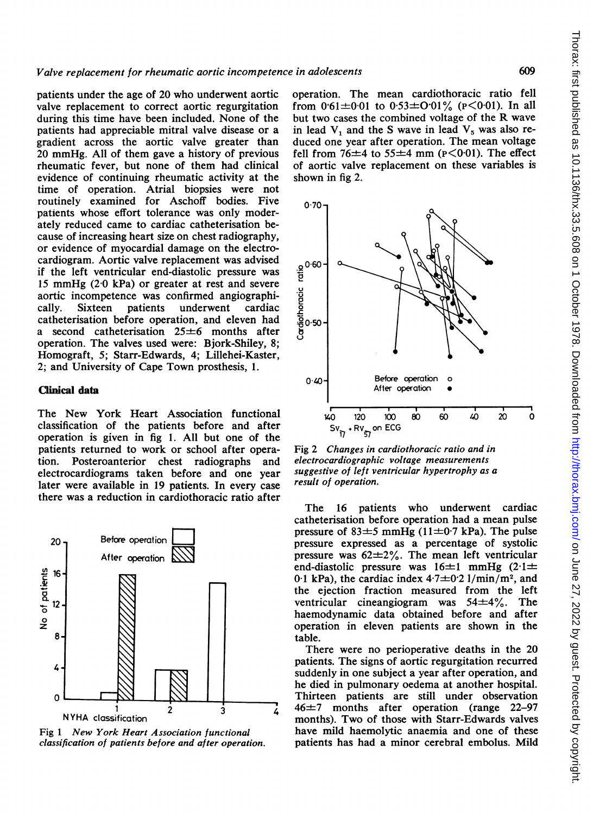patients under the age of 20 who underwent aortic valve replacement to correct aortic regurgitation during this time have been included. None of the patients had appreciable mitral valve disease or a gradient across the aortic valve greater than 20 mmHg. All of them gave a history of previous rheumatic fever, but none of them had clinical evidence of continuing rheumatic activity at the time of operation. Atrial biopsies were not routinely examined for Aschoff bodies. Five patients whose effort tolerance was only moderately reduced came to cardiac catheterisation because of increasing heart size on chest radiography, or evidence of myocardial damage on the electrocardiogram. Aortic valve replacement was advised if the left ventricular end-diastolic pressure was <sup>15</sup> mmHg (2 <sup>0</sup> kPa) or greater at rest and severe aortic incompetence was confirmed angiographiunderwent cardiac catheterisation before operation, and eleven had a second catheterisation  $25±6$  months after operation. The valves used were: Bjork-Shiley, 8; Homograft, 5; Starr-Edwards, 4; Lillehei-Kaster, 2; and University of Cape Town prosthesis, 1.

#### Clinical data

The New York Heart Association functional classification of the patients before and after operation is given in fig 1. All but one of the patients returned to work or school after operation. Posteroanterior chest radiographs and electrocardiograms taken before and one year later were available in 19 patients. In every case there was a reduction in cardiothoracic ratio after



Fig <sup>1</sup> New York Heart Association functional classification of patients before and after operation.

operation. The mean cardiothoracic ratio fell from  $0.61 \pm 0.01$  to  $0.53 \pm 0.01$ % (P<0.01). In all but two cases the combined voltage of the R wave in lead  $V_1$  and the S wave in lead  $V_5$  was also reduced one year after operation. The mean voltage fell from  $76\pm4$  to  $55\pm4$  mm (P $\lt$ 0.01). The effect of aortic valve replacement on these variables is shown in fig 2.



Fig 2 Changes in cardiothoracic ratio and in electrocardiographic voltage measurements suggestive of left ventricular hypertrophy as a result of operation.

The 16 patients who underwent cardiac catheterisation before operation had a mean pulse pressure of  $83\pm5$  mmHg (11 $\pm0.7$  kPa). The pulse pressure expressed as a percentage of systolic pressure was  $62\pm2\%$ . The mean left ventricular end-diastolic pressure was  $16±1$  mmHg  $(2.1±$ 0.1 kPa), the cardiac index  $4.7 \pm 0.2$   $1/min/m^2$ , and the ejection fraction measured from the left ventricular cineangiogram was  $54\pm4\%$ . The haemodynamic data obtained before and after operation in eleven patients are shown in the table.

There were no perioperative deaths in the 20 patients. The signs of aortic regurgitation recurred suddenly in one subject a year after operation, and he died in pulmonary oedema at another hospital. Thirteen patients are still under observation 46±7 months after operation (range 22-97 months). Two of those with Starr-Edwards valves have mild haemolytic anaemia and one of these patients has had a minor cerebral embolus. Mild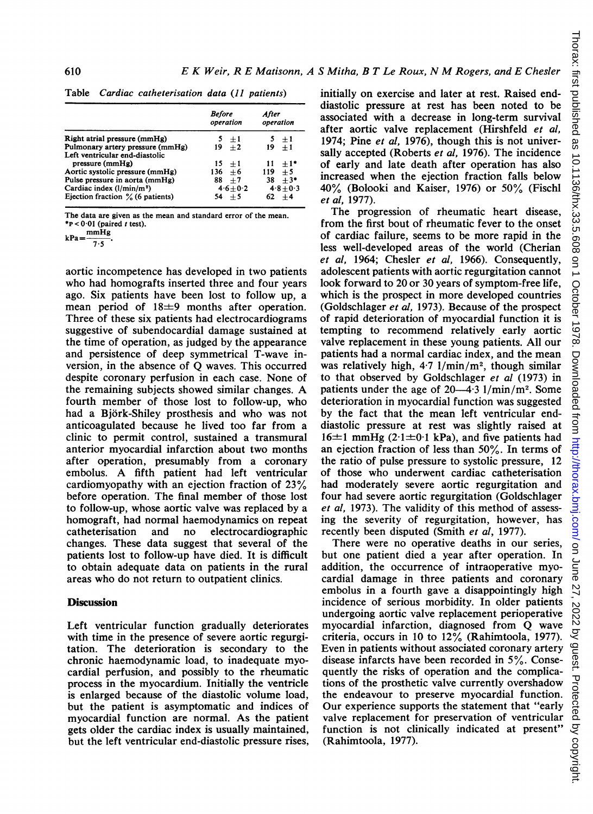|                                              | Before<br>operation | After<br>operation      |
|----------------------------------------------|---------------------|-------------------------|
| Right atrial pressure (mmHg)                 | $5 + 1$             | $5 + 1$                 |
| Pulmonary artery pressure (mmHg)             | $19 + 2$            | $19 + 1$                |
| Left ventricular end-diastolic               |                     |                         |
| pressure (mmHz)                              | $15 + 1$            | $+1$ <sup>*</sup><br>11 |
| Aortic systolic pressure (mmHg)              | $136 + 6$           | 119<br>$+5$             |
| Pulse pressure in aorta (mmHg)               | $88 + 7$            | 38<br>$+3*$             |
| Cardiac index (l/min/m <sup>2</sup> )        | $4.6 + 0.2$         | $4.8 + 0.3$             |
| Ejection fraction $\frac{6}{6}$ (6 patients) | $54 + 5$            | 62<br>$+4$              |

Table Cardiac catheterisation data (11 patients)

The data are given as the mean and standard error of the mean. \*P <  $0.01$  (paired t test).

7.5

aortic incompetence has developed in two patients who had homografts inserted three and four years ago. Six patients have been lost to follow up, a mean period of  $18\pm9$  months after operation. Three of these six patients had electrocardiograms suggestive of subendocardial damage sustained at the time of operation, as judged by the appearance and persistence of deep symmetrical T-wave inversion, in the absence of Q waves. This occurred despite coronary perfusion in each case. None of the remaining subjects showed similar changes. A fourth member of those lost to follow-up, who had a Bjork-Shiley prosthesis and who was not anticoagulated because he lived too far from a clinic to permit control, sustained a transmural anterior myocardial infarction about two months after operation, presumably from a coronary embolus. A fifth patient had left ventricular cardiomyopathy with an ejection fraction of 23% before operation. The final member of those lost to follow-up, whose aortic valve was replaced by a homograft, had normal haemodynamics on repeat catheterisation and no electrocardiographic changes. These data suggest that several of the patients lost to follow-up have died. It is difficult to obtain adequate data on patients in the rural areas who do not return to outpatient clinics.

#### **Discussion**

Left ventricular function gradually deteriorates with time in the presence of severe aortic regurgitation. The deterioration is secondary to the chronic haemodynamic load, to inadequate myocardial perfusion, and possibly to the rheumatic process in the myocardium. Initially the ventricle is enlarged because of the diastolic volume load, but the patient is asymptomatic and indices of myocardial function are normal. As the patient gets older the cardiac index is usually maintained, but the left ventricular end-diastolic pressure rises,

initially on exercise and later at rest. Raised enddiastolic pressure at rest has been noted to be associated with a decrease in long-term survival after aortic valve replacement (Hirshfeld et al, 1974; Pine et al, 1976), though this is not universally accepted (Roberts et al. 1976). The incidence of early and late death after operation has also increased when the ejection fraction falls below 40% (Bolooki and Kaiser, 1976) or 50% (Fischl et al, 1977).

The progression of rheumatic heart disease, from the first bout of rheumatic fever to the onset of cardiac failure, seems to be more rapid in the less well-developed areas of the world (Cherian et al. 1964; Chesler et al. 1966). Consequently, adolescent patients with aortic regurgitation cannot look forward to 20 or 30 years of symptom-free life, which is the prospect in more developed countries (Goldschlager et al, 1973). Because of the prospect of rapid deterioration of myocardial function it is tempting to recommend relatively early aortic valve replacement in these young patients. All our patients had a normal cardiac index, and the mean was relatively high,  $4.7 \frac{\text{1}}{\text{min}}$ , though similar to that observed by Goldschlager et al (1973) in patients under the age of  $20-4.3$   $1/min/m^2$ . Some deterioration in myocardial function was suggested by the fact that the mean left ventricular enddiastolic pressure at rest was slightly raised at  $16\pm1$  mmHg (2.1 $\pm$ 0.1 kPa), and five patients had an ejection fraction of less than 50%. In terms of the ratio of pulse pressure to systolic pressure, 12 of those who underwent cardiac catheterisation had moderately severe aortic regurgitation and four had severe aortic regurgitation (Goldschlager et al, 1973). The validity of this method of assessing the severity of regurgitation, however, has recently been disputed (Smith et al, 1977).

There were no operative deaths in our series, but one patient died a year after operation. In addition, the occurrence of intraoperative myocardial damage in three patients and coronary embolus in a fourth gave a disappointingly high incidence of serious morbidity. In older patients undergoing aortic valve replacement perioperative myocardial infarction, diagnosed from Q wave criteria, occurs in 10 to 12% (Rahimtoola, 1977). Even in patients without associated coronary artery disease infarcts have been recorded in 5%. Consequently the risks of operation and the complications of the prosthetic valve currently overshadow the endeavour to preserve myocardial function. Our experience supports the statement that "early valve replacement for preservation of ventricular function is not clinically indicated at present" (Rahimtoola, 1977).

 $kPa = \frac{mmHg}{\sqrt{2}}$